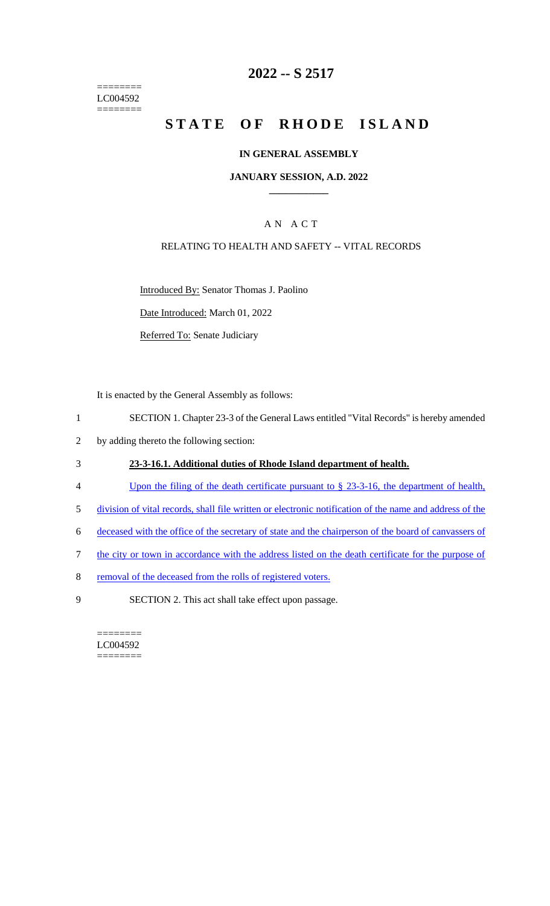======== LC004592  $=$ 

# **2022 -- S 2517**

# **STATE OF RHODE ISLAND**

#### **IN GENERAL ASSEMBLY**

#### **JANUARY SESSION, A.D. 2022 \_\_\_\_\_\_\_\_\_\_\_\_**

## A N A C T

#### RELATING TO HEALTH AND SAFETY -- VITAL RECORDS

Introduced By: Senator Thomas J. Paolino

Date Introduced: March 01, 2022

Referred To: Senate Judiciary

It is enacted by the General Assembly as follows:

- 1 SECTION 1. Chapter 23-3 of the General Laws entitled "Vital Records" is hereby amended
- 2 by adding thereto the following section:

#### 3 **23-3-16.1. Additional duties of Rhode Island department of health.**

- 4 Upon the filing of the death certificate pursuant to § 23-3-16, the department of health,
- 5 division of vital records, shall file written or electronic notification of the name and address of the
- 6 deceased with the office of the secretary of state and the chairperson of the board of canvassers of
- 7 the city or town in accordance with the address listed on the death certificate for the purpose of
- 8 removal of the deceased from the rolls of registered voters.
- 9 SECTION 2. This act shall take effect upon passage.

======== LC004592 ========